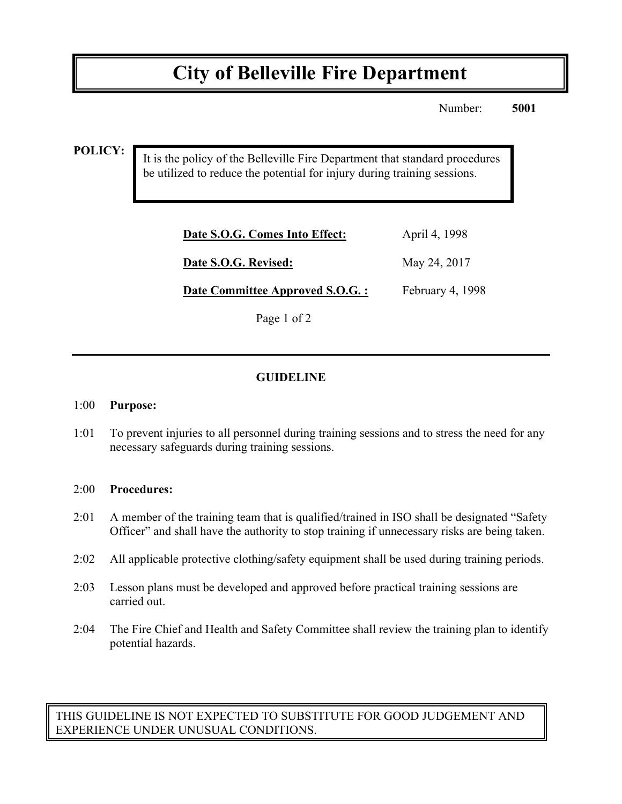# **City of Belleville Fire Department**

Number: **5001**

**POLICY:**

It is the policy of the Belleville Fire Department that standard procedures be utilized to reduce the potential for injury during training sessions.

| April 4, 1998    |
|------------------|
| May 24, 2017     |
| February 4, 1998 |
|                  |

Page 1 of 2

### **GUIDELINE**

#### 1:00 **Purpose:**

1:01 To prevent injuries to all personnel during training sessions and to stress the need for any necessary safeguards during training sessions.

#### 2:00 **Procedures:**

- 2:01 A member of the training team that is qualified/trained in ISO shall be designated "Safety Officer" and shall have the authority to stop training if unnecessary risks are being taken.
- 2:02 All applicable protective clothing/safety equipment shall be used during training periods.
- 2:03 Lesson plans must be developed and approved before practical training sessions are carried out.
- 2:04 The Fire Chief and Health and Safety Committee shall review the training plan to identify potential hazards.

THIS GUIDELINE IS NOT EXPECTED TO SUBSTITUTE FOR GOOD JUDGEMENT AND EXPERIENCE UNDER UNUSUAL CONDITIONS.